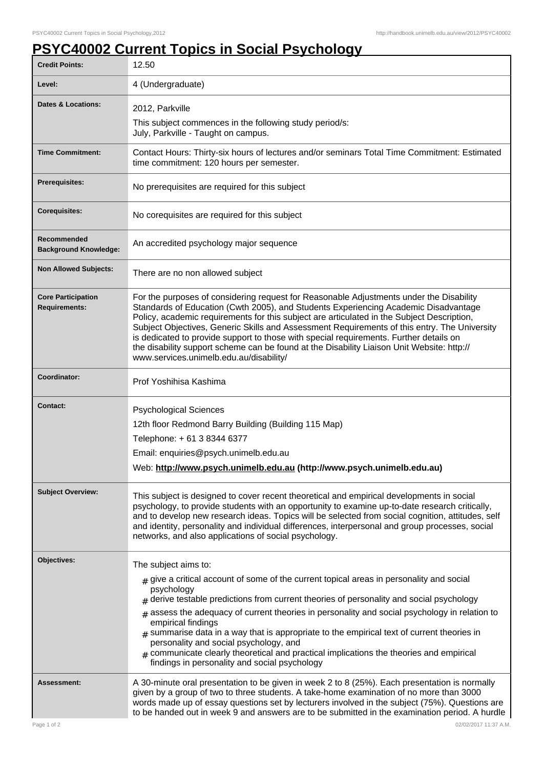## **PSYC40002 Current Topics in Social Psychology**

| <b>Credit Points:</b>                             | 12.50                                                                                                                                                                                                                                                                                                                                                                                                                                                                                                                                                                                                                   |
|---------------------------------------------------|-------------------------------------------------------------------------------------------------------------------------------------------------------------------------------------------------------------------------------------------------------------------------------------------------------------------------------------------------------------------------------------------------------------------------------------------------------------------------------------------------------------------------------------------------------------------------------------------------------------------------|
| Level:                                            | 4 (Undergraduate)                                                                                                                                                                                                                                                                                                                                                                                                                                                                                                                                                                                                       |
| <b>Dates &amp; Locations:</b>                     | 2012, Parkville                                                                                                                                                                                                                                                                                                                                                                                                                                                                                                                                                                                                         |
|                                                   | This subject commences in the following study period/s:<br>July, Parkville - Taught on campus.                                                                                                                                                                                                                                                                                                                                                                                                                                                                                                                          |
| <b>Time Commitment:</b>                           | Contact Hours: Thirty-six hours of lectures and/or seminars Total Time Commitment: Estimated<br>time commitment: 120 hours per semester.                                                                                                                                                                                                                                                                                                                                                                                                                                                                                |
| <b>Prerequisites:</b>                             | No prerequisites are required for this subject                                                                                                                                                                                                                                                                                                                                                                                                                                                                                                                                                                          |
| <b>Corequisites:</b>                              | No corequisites are required for this subject                                                                                                                                                                                                                                                                                                                                                                                                                                                                                                                                                                           |
| Recommended<br><b>Background Knowledge:</b>       | An accredited psychology major sequence                                                                                                                                                                                                                                                                                                                                                                                                                                                                                                                                                                                 |
| <b>Non Allowed Subjects:</b>                      | There are no non allowed subject                                                                                                                                                                                                                                                                                                                                                                                                                                                                                                                                                                                        |
| <b>Core Participation</b><br><b>Requirements:</b> | For the purposes of considering request for Reasonable Adjustments under the Disability<br>Standards of Education (Cwth 2005), and Students Experiencing Academic Disadvantage<br>Policy, academic requirements for this subject are articulated in the Subject Description,<br>Subject Objectives, Generic Skills and Assessment Requirements of this entry. The University<br>is dedicated to provide support to those with special requirements. Further details on<br>the disability support scheme can be found at the Disability Liaison Unit Website: http://<br>www.services.unimelb.edu.au/disability/         |
| Coordinator:                                      | Prof Yoshihisa Kashima                                                                                                                                                                                                                                                                                                                                                                                                                                                                                                                                                                                                  |
| <b>Contact:</b>                                   | <b>Psychological Sciences</b><br>12th floor Redmond Barry Building (Building 115 Map)<br>Telephone: +61 3 8344 6377                                                                                                                                                                                                                                                                                                                                                                                                                                                                                                     |
|                                                   | Email: enquiries@psych.unimelb.edu.au                                                                                                                                                                                                                                                                                                                                                                                                                                                                                                                                                                                   |
|                                                   | Web: http://www.psych.unimelb.edu.au (http://www.psych.unimelb.edu.au)                                                                                                                                                                                                                                                                                                                                                                                                                                                                                                                                                  |
| <b>Subject Overview:</b>                          | This subject is designed to cover recent theoretical and empirical developments in social<br>psychology, to provide students with an opportunity to examine up-to-date research critically,<br>and to develop new research ideas. Topics will be selected from social cognition, attitudes, self<br>and identity, personality and individual differences, interpersonal and group processes, social<br>networks, and also applications of social psychology.                                                                                                                                                            |
| <b>Objectives:</b>                                | The subject aims to:                                                                                                                                                                                                                                                                                                                                                                                                                                                                                                                                                                                                    |
|                                                   | $_{\#}$ give a critical account of some of the current topical areas in personality and social<br>psychology<br>$#$ derive testable predictions from current theories of personality and social psychology<br>assess the adequacy of current theories in personality and social psychology in relation to<br>empirical findings<br>$*$ summarise data in a way that is appropriate to the empirical text of current theories in<br>personality and social psychology, and<br>$*$ communicate clearly theoretical and practical implications the theories and empirical<br>findings in personality and social psychology |
| <b>Assessment:</b>                                | A 30-minute oral presentation to be given in week 2 to 8 (25%). Each presentation is normally<br>given by a group of two to three students. A take-home examination of no more than 3000<br>words made up of essay questions set by lecturers involved in the subject (75%). Questions are<br>to be handed out in week 9 and answers are to be submitted in the examination period. A hurdle                                                                                                                                                                                                                            |
| Page 1 of 2                                       | 02/02/2017 11:37 A.M.                                                                                                                                                                                                                                                                                                                                                                                                                                                                                                                                                                                                   |